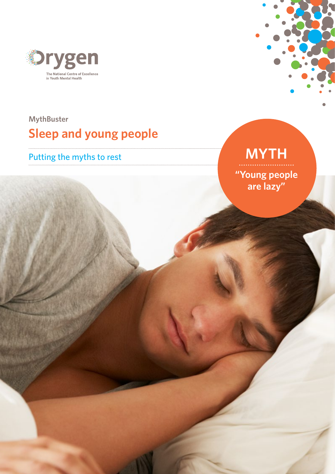

## **MythBuster Sleep and young people**



# Putting the myths to rest **MYTH**

**"Young people are lazy"**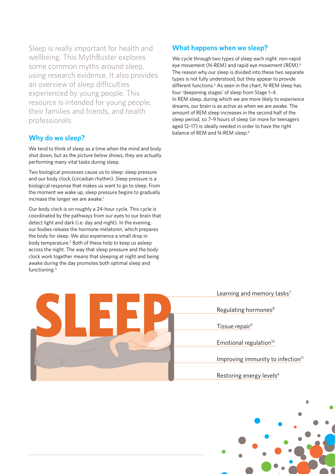Sleep is really important for health and wellbeing. This MythBuster explores some common myths around sleep, using research evidence. It also provides an overview of sleep difficulties experienced by young people. This resource is intended for young people, their families and friends, and health professionals.

### **Why do we sleep?**

We tend to think of sleep as a time when the mind and body shut down, but as the picture below shows, they are actually performing many vital tasks during sleep.

Two biological processes cause us to sleep: sleep pressure and our body clock (circadian rhythm). Sleep pressure is a biological response that makes us want to go to sleep. From the moment we wake up, sleep pressure begins to gradually increase the longer we are awake.<sup>1</sup>

Our body clock is on roughly a 24-hour cycle. This cycle is coordinated by the pathways from our eyes to our brain that detect light and dark (i.e. day and night). In the evening, our bodies release the hormone melatonin, which prepares the body for sleep. We also experience a small drop in body temperature.<sup>2</sup> Both of these help to keep us asleep across the night. The way that sleep pressure and the body clock work together means that sleeping at night and being awake during the day promotes both optimal sleep and functioning.3



### **What happens when we sleep?**

We cycle through two types of sleep each night: non-rapid eye movement (N-REM) and rapid eye movement (REM).4 The reason why our sleep is divided into these two separate types is not fully understood, but they appear to provide different functions.<sup>5</sup> As seen in the chart, N-REM sleep has four 'deepening stages' of sleep from Stage 1–4. In REM sleep, during which we are more likely to experience dreams, our brain is as active as when we are awake. The amount of REM sleep increases in the second half of the sleep period, so 7–9 hours of sleep (or more for teenagers aged 12–17) is ideally needed in order to have the right balance of REM and N-REM sleep.<sup>6</sup>

> Learning and memory tasks<sup>7</sup> Tissue repair<sup>9</sup> Improving immunity to infection $11$ Regulating hormones<sup>8</sup> Emotional regulation<sup>10</sup> Restoring energy levels<sup>6</sup>

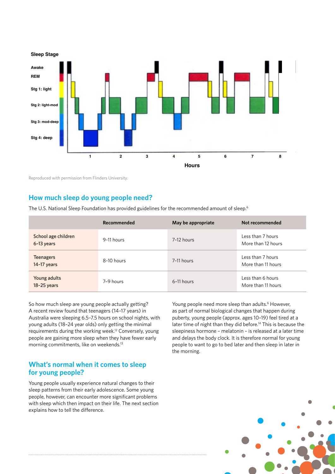

Reproduced with permission from Flinders University.

### **How much sleep do young people need?**

The U.S. National Sleep Foundation has provided guidelines for the recommended amount of sleep.<sup>6</sup>

|                                   | Recommended | May be appropriate | Not recommended                         |
|-----------------------------------|-------------|--------------------|-----------------------------------------|
| School age children<br>6-13 years | 9-11 hours  | 7-12 hours         | Less than 7 hours<br>More than 12 hours |
| <b>Teenagers</b><br>$14-17$ years | 8-10 hours  | 7-11 hours         | Less than 7 hours<br>More than 11 hours |
| Young adults<br>$18-25$ years     | 7-9 hours   | 6-11 hours         | Less than 6 hours<br>More than 11 hours |

So how much sleep are young people actually getting? A recent review found that teenagers (14–17 years) in Australia were sleeping 6.5–7.5 hours on school nights, with young adults (18–24 year olds) only getting the minimal requirements during the working week.12 Conversely, young people are gaining more sleep when they have fewer early morning commitments, like on weekends.13

### **What's normal when it comes to sleep for young people?**

Young people usually experience natural changes to their sleep patterns from their early adolescence. Some young people, however, can encounter more significant problems with sleep which then impact on their life. The next section explains how to tell the difference.

Young people need more sleep than adults.<sup>6</sup> However, as part of normal biological changes that happen during puberty, young people (approx. ages 10–19) feel tired at a later time of night than they did before.14 This is because the sleepiness hormone – melatonin – is released at a later time and delays the body clock. It is therefore normal for young people to want to go to bed later and then sleep in later in the morning.

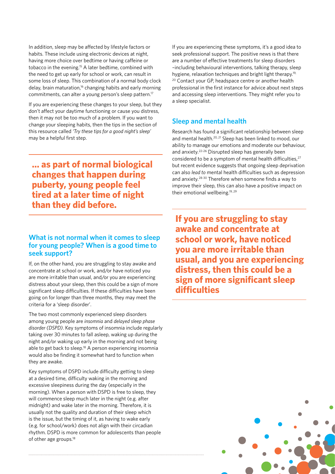In addition, sleep may be affected by lifestyle factors or habits. These include using electronic devices at night, having more choice over bedtime or having caffeine or tobacco in the evening.15 A later bedtime, combined with the need to get up early for school or work, can result in some loss of sleep. This combination of a normal body clock delay, brain maturation,<sup>16</sup> changing habits and early morning commitments, can alter a young person's sleep pattern.<sup>17</sup>

If you are experiencing these changes to your sleep, but they don't affect your daytime functioning or cause you distress, then it may not be too much of a problem. If you want to change your sleeping habits, then the tips in the section of this resource called *'Try these tips for a good night's sleep'* may be a helpful first step.

**… as part of normal biological changes that happen during puberty, young people feel tired at a later time of night than they did before.**

### **What is not normal when it comes to sleep for young people? When is a good time to seek support?**

If, on the other hand, you are struggling to stay awake and concentrate at school or work, and/or have noticed you are more irritable than usual, and/or you are experiencing distress about your sleep, then this could be a sign of more significant sleep difficulties. If these difficulties have been going on for longer than three months, they may meet the criteria for a 'sleep disorder'.

The two most commonly experienced sleep disorders among young people are *insomnia* and *delayed sleep phase disorder (DSPD)*. Key symptoms of insomnia include regularly taking over 30 minutes to fall asleep, waking up during the night and/or waking up early in the morning and not being able to get back to sleep.<sup>18</sup> A person experiencing insomnia would also be finding it somewhat hard to function when they are awake.

Key symptoms of DSPD include difficulty getting to sleep at a desired time, difficulty waking in the morning and excessive sleepiness during the day (especially in the morning). When a person with DSPD is free to sleep, they will commence sleep much later in the night (e.g. after midnight) and wake later in the morning. Therefore, it is usually not the quality and duration of their sleep which is the issue, but the timing of it, as having to wake early (e.g. for school/work) does not align with their circadian rhythm. DSPD is more common for adolescents than people of other age groups.<sup>18</sup>

If you are experiencing these symptoms, it's a good idea to seek professional support. The positive news is that there are a number of effective treatments for sleep disorders –including behavioural interventions, talking therapy, sleep hygiene, relaxation techniques and bright light therapy.<sup>19,</sup> 20 Contact your GP, headspace centre or another health professional in the first instance for advice about next steps and accessing sleep interventions. They might refer you to a sleep specialist.

### **Sleep and mental health**

Research has found a significant relationship between sleep and mental health.20, 21 Sleep has been linked to mood, our ability to manage our emotions and moderate our behaviour, and anxiety.22–26 Disrupted sleep has generally been considered to be a symptom of mental health difficulties,<sup>27</sup> but recent evidence suggests that ongoing sleep deprivation can also *lead to* mental health difficulties such as depression and anxiety.28-30 Therefore when someone finds a way to improve their sleep, this can also have a positive impact on their emotional wellbeing.19, 29

**If you are struggling to stay awake and concentrate at school or work, have noticed you are more irritable than usual, and you are experiencing distress, then this could be a sign of more significant sleep difficulties** 

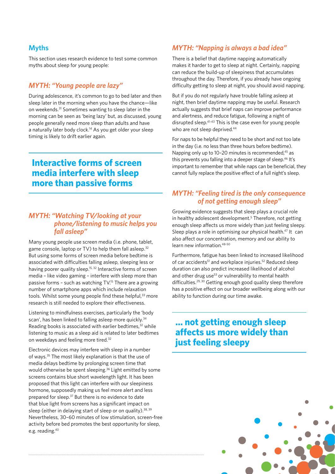### **Myths**

This section uses research evidence to test some common myths about sleep for young people:

### *MYTH: "Young people are lazy"*

During adolescence, it's common to go to bed later and then sleep later in the morning when you have the chance—like on weekends.31 Sometimes wanting to sleep later in the morning can be seen as 'being lazy' but, as discussed, young people generally need more sleep than adults and have a naturally later body clock.<sup>14</sup> As you get older your sleep timing is likely to drift earlier again.

### **Interactive forms of screen media interfere with sleep more than passive forms**

### *MYTH: "Watching TV/looking at your phone/listening to music helps you fall asleep"*

Many young people use screen media (i.e. phone, tablet, game console, laptop or TV) to help them fall asleep.<sup>32</sup> But using some forms of screen media before bedtime is associated with difficulties falling asleep, sleeping less or having poorer quality sleep.<sup>15, 32</sup> Interactive forms of screen media – like video gaming – interfere with sleep more than passive forms - such as watching  $TV$ <sup>15</sup> There are a growing number of smartphone apps which include relaxation tools. Whilst some young people find these helpful,<sup>33</sup> more research is still needed to explore their effectiveness.

Listening to mindfulness exercises, particularly the 'body scan', has been linked to falling asleep more quickly.<sup>34</sup> Reading books is associated with earlier bedtimes, $32$  while listening to music as a sleep aid is related to later bedtimes on weekdays and feeling more tired.<sup>32</sup>

Electronic devices may interfere with sleep in a number of ways.35 The most likely explanation is that the use of media delays bedtime by prolonging screen time that would otherwise be spent sleeping.36 Light emitted by some screens contains blue short wavelength light. It has been proposed that this light can interfere with our sleepiness hormone, supposedly making us feel more alert and less prepared for sleep.37 But there is no evidence to date that blue light from screens has a significant impact on sleep (either in delaying start of sleep or on quality).<sup>38, 39</sup> Nevertheless, 30–60 minutes of low stimulation, screen-free activity before bed promotes the best opportunity for sleep, e.g. reading.40

### *MYTH: "Napping is always a bad idea"*

There is a belief that daytime napping automatically makes it harder to get to sleep at night. Certainly, napping can reduce the build-up of sleepiness that accumulates throughout the day. Therefore, if you already have ongoing difficulty getting to sleep at night, you should avoid napping.

But if you do not regularly have trouble falling asleep at night, then brief daytime napping may be useful. Research actually suggests that brief naps can improve performance and alertness, and reduce fatigue, following a night of disrupted sleep.41-43 This is the case even for young people who are not sleep deprived.<sup>44</sup>

For naps to be helpful they need to be short and not too late in the day (i.e. no less than three hours before bedtime). Napping only up to 10-20 minutes is recommended, $45$  as this prevents you falling into a deeper stage of sleep.<sup>46</sup> It's important to remember that while naps can be beneficial, they cannot fully replace the positive effect of a full night's sleep.

### *MYTH: "Feeling tired is the only consequence of not getting enough sleep"*

Growing evidence suggests that sleep plays a crucial role in healthy adolescent development.<sup>5</sup> Therefore, not getting enough sleep affects us more widely than just feeling sleepy. Sleep plays a role in optimising our physical health.<sup>47</sup> It can also affect our concentration, memory and our ability to learn new information.48-50

Furthermore, fatigue has been linked to increased likelihood of car accidents<sup>51</sup> and workplace injuries.<sup>52</sup> Reduced sleep duration can also predict increased likelihood of alcohol and other drug use<sup>53</sup> or vulnerability to mental health difficulties.<sup>29, 30</sup> Getting enough good quality sleep therefore has a positive effect on our broader wellbeing along with our ability to function during our time awake.

### **… not getting enough sleep affects us more widely than just feeling sleepy**

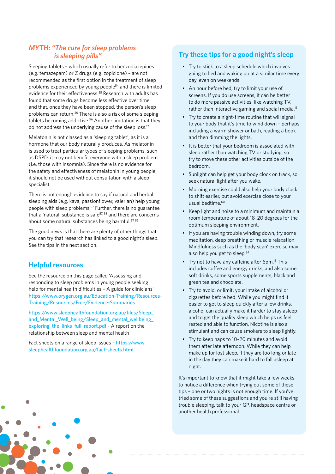### *MYTH: "The cure for sleep problems is sleeping pills"*

Sleeping tablets – which usually refer to benzodiazepines (e.g. temazepam) or Z drugs (e.g. zopiclone) – are not recommended as the first option in the treatment of sleep problems experienced by young people54 and there is limited evidence for their effectiveness.<sup>55</sup> Research with adults has found that some drugs become less effective over time and that, once they have been stopped, the person's sleep problems can return.<sup>56</sup> There is also a risk of some sleeping tablets becoming addictive.56 Another limitation is that they do not address the underlying cause of the sleep loss.17

Melatonin is not classed as a 'sleeping tablet', as it is a hormone that our body naturally produces. As melatonin is used to treat particular types of sleeping problems, such as DSPD, it may not benefit everyone with a sleep problem (i.e. those with insomnia). Since there is no evidence for the safety and effectiveness of melatonin in young people, it should not be used without consultation with a sleep specialist.

There is not enough evidence to say if natural and herbal sleeping aids (e.g. kava, passionflower, valerian) help young people with sleep problems.57 Further, there is no guarantee that a 'natural' substance is safe<sup>57, 58</sup> and there are concerns about some natural substances being harmful.<sup>57, 59</sup>

The good news is that there are plenty of other things that you can try that research has linked to a good night's sleep. See the tips in the next section.

### **Helpful resources**

See the resource on this page called 'Assessing and responding to sleep problems in young people seeking help for mental health difficulties – A guide for clinicians' [https://www.orygen.org.au/Education-Training/Resources-](https://www.orygen.org.au/Education-Training/Resources-Training/Resources/Free/Evidence-Summaries)[Training/Resources/Free/Evidence-Summaries](https://www.orygen.org.au/Education-Training/Resources-Training/Resources/Free/Evidence-Summaries)

[https://www.sleephealthfoundation.org.au/files/Sleep\\_](https://www.sleephealthfoundation.org.au/files/Sleep_and_Mental_Well_being/Sleep_and_mental_wellbeing_exploring_the_links_full_report.pdf) [and\\_Mental\\_Well\\_being/Sleep\\_and\\_mental\\_wellbeing\\_](https://www.sleephealthfoundation.org.au/files/Sleep_and_Mental_Well_being/Sleep_and_mental_wellbeing_exploring_the_links_full_report.pdf) [exploring\\_the\\_links\\_full\\_report.pdf](https://www.sleephealthfoundation.org.au/files/Sleep_and_Mental_Well_being/Sleep_and_mental_wellbeing_exploring_the_links_full_report.pdf) - A report on the relationship between sleep and mental health

Fact sheets on a range of sleep issues – [https://www.](https://www.sleephealthfoundation.org.au/fact-sheets.html) [sleephealthfoundation.org.au/fact-sheets.html](https://www.sleephealthfoundation.org.au/fact-sheets.html)

### **Try these tips for a good night's sleep**

- Try to stick to a sleep schedule which involves going to bed and waking up at a similar time every day, even on weekends.
- An hour before bed, try to limit your use of screens. If you do use screens, it can be better to do more passive activities, like watching TV, rather than interactive gaming and social media.15
- Try to create a night-time routine that will signal to your body that it's time to wind down – perhaps including a warm shower or bath, reading a book and then dimming the lights.
- It is better that your bedroom is associated with sleep rather than watching TV or studying, so try to move these other activities outside of the bedroom.
- Sunlight can help get your body clock on track, so seek natural light after you wake.
- Morning exercise could also help your body clock to shift earlier, but avoid exercise close to your  $u$ sual bedtime $60$
- Keep light and noise to a minimum and maintain a room temperature of about 18–20 degrees for the optimum sleeping environment.
- If you are having trouble winding down, try some meditation, deep breathing or muscle relaxation. Mindfulness such as the 'body scan' exercise may also help you get to sleep.<sup>34</sup>
- Try not to have any caffeine after 6pm.<sup>15</sup> This includes coffee and energy drinks, and also some soft drinks, some sports supplements, black and green tea and chocolate.
- Try to avoid, or limit, your intake of alcohol or cigarettes before bed. While you might find it easier to get to sleep quickly after a few drinks, alcohol can actually make it harder to stay asleep and to get the quality sleep which helps us feel rested and able to function. Nicotine is also a stimulant and can cause smokers to sleep lightly.
- Try to keep naps to 10–20 minutes and avoid them after late afternoon. While they can help make up for lost sleep, if they are too long or late in the day they can make it hard to fall asleep at night.

It's important to know that it might take a few weeks to notice a difference when trying out some of these tips – one or two nights is not enough time. If you've tried some of these suggestions and you're still having trouble sleeping, talk to your GP, headspace centre or another health professional.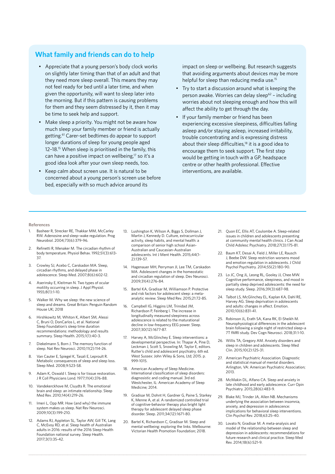### **What family and friends can do to help**

- Appreciate that a young person's body clock works on slightly later timing than that of an adult and that they need more sleep overall. This means they may not feel ready for bed until a later time, and when given the opportunity, will want to sleep later into the morning. But if this pattern is causing problems for them and they seem distressed by it, then it may be time to seek help and support.
- Make sleep a priority. You might not be aware how much sleep your family member or friend is actually getting.61 Carer-set bedtimes do appear to support longer durations of sleep for young people aged 12–18.15 When sleep is prioritised in the family, this can have a positive impact on wellbeing,<sup>17</sup> so it's a good idea look after your own sleep needs, too.
- Keep calm about screen use. It is natural to be concerned about a young person's screen use before bed, especially with so much advice around its

impact on sleep or wellbeing. But research suggests that avoiding arguments about devices may be more helpful for sleep than reducing media use.<sup>15</sup>

- Try to start a discussion around what is keeping the person awake. Worries can delay sleep<sup>62</sup> - including worries about not sleeping enough and how this will affect the ability to get through the day.
- If your family member or friend has been experiencing excessive sleepiness, difficulties falling asleep and/or staying asleep, increased irritability, trouble concentrating and is expressing distress about their sleep difficulties,<sup>18</sup> it is a good idea to encourage them to seek support. The first step would be getting in touch with a GP, headspace centre or other health professional. Effective interventions, are available.

#### **References**

- 1. Basheer R, Strecker RE, Thakkar MM, McCarley RW. Adenosine and sleep–wake regulation. Prog Neurobiol. 2004;73(6):379-96.
- 2. Refinetti R, Menaker M. The circadian rhythm of body temperature. Physiol Behav. 1992;51(3):613- 37.
- 3. Crowley SJ, Acebo C, Carskadon MA. Sleep, circadian rhythms, and delayed phase in adolescence. Sleep Med. 2007;8(6):602-12.
- 4. Aserinsky E, Kleitman N. Two types of ocular motility occurring in sleep. J Appl Physiol. 1955;8(1):1-10.
- 5. Walker M. Why we sleep: the new science of sleep and dreams. Great Britain: Penguin Random House UK; 2018
- 6. Hirshkowitz M, Whiton K, Albert SM, Alessi C, Bruni O, DonCarlos L, et al. National Sleep Foundation's sleep time duration recommendations: methodology and results summary. Sleep Health. 2015;1(1):40-3.
- 7. Diekelmann S, Born J. The memory function of sleep. Nat Rev Neurosci. 2010;11(2):114-26.
- 8. Van Cauter E, Spiegel K, Tasali E, Leproult R. Metabolic consequences of sleep and sleep loss. Sleep Med. 2008;9:S23-S8.
- 9. Adam K, Oswald I. Sleep is for tissue restoration. J R Coll Physicians Lond. 1977;11(4):376-88.
- 10. Vandekerckhove M, Cluydts R. The emotional brain and sleep: an intimate relationship. Sleep Med Rev. 2010;14(4):219-26.
- 11. Imeri L, Opp MR. How (and why) the immune system makes us sleep. Nat Rev Neurosci. 2009;10(3):199-210.
- 12. Adams RJ, Appleton SL, Taylor AW, Gill TK, Lang C, McEvoy RD, et al. Sleep health of Australian adults in 2016: results of the 2016 Sleep Health Foundation national survey. Sleep Health. 2017;3(1):35-42.
- 13. Lushington K, Wilson A, Biggs S, Dollman J, Martin J, Kennedy D. Culture, extracurricular activity, sleep habits, and mental health: a comparison of senior high school Asian-Australian and Caucasian-Australian adolescents. Int J Ment Health. 2015;44(1- 2):139-57.
- 14. Hagenauer MH, Perryman JI, Lee TM, Carskadon MA. Adolescent changes in the homeostatic and circadian regulation of sleep. Dev Neurosci. 2009;31(4):276-84.
- 15. Bartel KA, Gradisar M, Williamson P. Protective and risk factors for adolescent sleep: a metaanalytic review. Sleep Med Rev. 2015;21:72-85.
- 16. Campbell IG, Higgins LM, Trinidad JM, Richardson P, Feinberg I. The increase in longitudinally measured sleepiness across adolescence is related to the maturational decline in low-frequency EEG power. Sleep. 2007;30(12):1677-87.
- 17. Harvey A, McGlinchey E. Sleep interventions: a developmental perspective. In: Thapar A, Pine D, Leckman J, Scott S, Snowling M, Taylor E, editors. Rutter's child and adolescent psychiatry. 6th ed. West Sussex: John Wiley & Sons, Ltd; 2015. p. 999-1015.
- 18. American Academy of Sleep Medicine. International classification of sleep disorders: diagnosistic and coding manual. 3rd ed. Westchester, IL: American Academy of Sleep Medicine; 2014.
- 19. Gradisar M, Dohnt H, Gardner G, Paine S, Starkey K, Menne A, et al. A randomized controlled trial of cognitive-behavior therapy plus bright light therapy for adolescent delayed sleep phase disorder. Sleep. 2011;34(12):1671-80.
- 20. Bartel K, Richardson C, Gradisar M. Sleep and mental wellbeing: exploring the links. Melbourne: Victorian Health Promotion Foundation; 2018.
- 21. Quon EC, Ellis AT, Coulombe A. Sleep-related issues in children and adolescents presenting at community mental health clinics. J Can Acad Child Adolesc Psychiatry. 2018;27(3):175-81.
- 22. Baum KT, Desai A, Field J, Miller LE, Rausch J, Beebe DW. Sleep restriction worsens mood and emotion regulation in adolescents. J Child Psychol Psychiatry. 2014;55(2):180-90.
- 23. Lo JC, Ong JL, Leong RL, Gooley JJ, Chee MW. Cognitive performance, sleepiness, and mood in partially sleep deprived adolescents: the need for sleep study. Sleep. 2016;39(3):687-98.
- 24. Talbot LS, McGlinchey EL, Kaplan KA, Dahl RE, Harvey AG. Sleep deprivation in adolescents and adults: changes in affect. Emotion. 2010;10(6):831-41.
- 25. Robinson JL, Erath SA, Kana RK, El-Sheikh M. Neurophysiological differences in the adolescent brain following a single night of restricted sleep–a 7T fMRI study. Dev Cogn Neurosci. 2018;31:1-10.
- 26. Willis TA, Gregory AM. Anxiety disorders and sleep in children and adolescents. Sleep Med Clin. 2015;10(2):125-31.
- 27. American Psychiatric Association. Diagnostic and statistical manual of mental disorders. Arlington, VA: American Psychiatric Association; 2013.
- 28. McMakin DL, Alfano CA. Sleep and anxiety in late childhood and early adolescence. Curr Opin Psychiatry. 2015;28(6):483-9.
- 29. Blake MJ, Trinder JA, Allen NB. Mechanisms underlying the association between insomnia, anxiety, and depression in adolescence: implications for behavioral sleep interventions. Clin Psychol Rev. 2018;63:25-40.
- 30. Lovato N, Gradisar M. A meta-analysis and model of the relationship between sleep and depression in adolescents: recommendations for future research and clinical practice. Sleep Med Rev. 2014;18(6):521-9.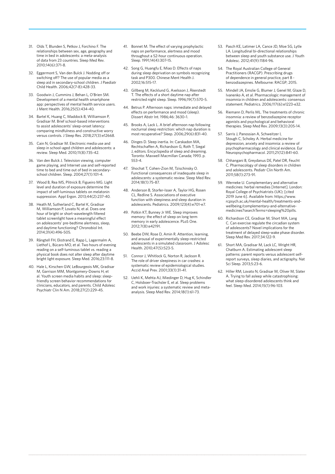- 31. Olds T, Blunden S, Petkov J, Forchino F. The relationships between sex, age, geography and time in bed in adolescents: a meta-analysis of data from 23 countries. Sleep Med Rev. 2010;14(6):371-8.
- 32. Eggermont S, Van den Bulck J. Nodding off or switching off? The use of popular media as a sleep aid in secondary-school children. J Paediatr Child Health. 2006;42(7-8):428-33.
- 33. Goodwin J, Cummins J, Behan L, O'Brien SM. Development of a mental health smartphone app: perspectives of mental health service users. J Ment Health. 2016;25(5):434-40.
- 34. Bartel K, Huang C, Maddock B, Williamson P, Gradisar M. Brief school-based interventions to assist adolescents' sleep-onset latency: comparing mindfulness and constructive worry versus controls. J Sleep Res. 2018;27(3):e12668.
- 35. Cain N, Gradisar M. Electronic media use and sleep in school-aged children and adolescents: a review. Sleep Med. 2010;11(8):735-42.
- 36. Van den Bulck J. Television viewing, computer game playing, and Internet use and self-reported time to bed and time out of bed in secondaryschool children. Sleep. 2004;27(1):101-4.
- 37. Wood B, Rea MS, Plitnick B, Figueiro MG. Light level and duration of exposure determine the impact of self-luminous tablets on melatonin suppression. Appl Ergon. 2013;44(2):237-40.
- 38. Heath M, Sutherland C, Bartel K, Gradisar M, Williamson P, Lovato N, et al. Does one hour of bright or short-wavelength filtered tablet screenlight have a meaningful effect on adolescents' pre-bedtime alertness, sleep, and daytime functioning? Chronobiol Int. 2014;31(4):496-505.
- 39. Rångtell FH, Ekstrand E, Rapp L, Lagermalm A, Liethof L, Búcaro MO, et al. Two hours of evening reading on a self-luminous tablet vs. reading a physical book does not alter sleep after daytime bright light exposure. Sleep Med. 2016;23:111-8.
- 40. Hale L, Kirschen GW, LeBourgeois MK, Gradisar M, Garrison MM, Montgomery-Downs H, et al. Youth screen media habits and sleep: sleepfriendly screen behavior recommendations for clinicians, educators, and parents. Child Adolesc Psychiatr Clin N Am. 2018;27(2):229-45.
- 41. Bonnet M. The effect of varying prophylactic naps on performance, alertness and mood throughout a 52-hour continuous operation. Sleep. 1991;14(4):307-15.
- 42. Song G, Huangfu E, Miao D. Effects of naps during sleep deprivation on symbols recognizing task and P300. Chinese Ment Health J. 2002;16:515-17.
- 43. Gillberg M, Kecklund G, Axelsson J, Åkerstedt T. The effects of a short daytime nap after restricted night sleep. Sleep. 1996;19(7):570-5.
- 44. Betrus P. Afternoon naps: immediate and delayed effects on performance and mood (sleep). Dissert Abstr Int. 1986;46: 3630–1.
- 45. Brooks A, Lack L. A brief afternoon nap following nocturnal sleep restriction: which nap duration is most recuperative? Sleep. 2006;29(6):831-40.
- 46. Dinges D. Sleep inertia. In: Carskadon MA, Rechtschaffen A, Richardson G, Roth T, Siegal J, editors. Encyclopedia of sleep and dreaming. Toronto: Maxwell Macmillan Canada; 1993. p. 553-4.
- 47. Shochat T, Cohen-Zion M, Tzischinsky O. Functional consequences of inadequate sleep in adolescents: a systematic review. Sleep Med Rev. 2014;18(1):75-87.
- 48. Anderson B, Storfer-Isser A, Taylor HG, Rosen CL, Redline S. Associations of executive function with sleepiness and sleep duration in adolescents. Pediatrics. 2009;123(4):e701-e7.
- 49. Potkin KT, Bunney Jr WE. Sleep improves memory: the effect of sleep on long term memory in early adolescence. PLoS One. 2012;7(8):e42191.
- 50. Beebe DW, Rose D, Amin R. Attention, learning, and arousal of experimentally sleep-restricted adolescents in a simulated classroom. J Adolesc Health. 2010;47(5):523-5.
- 51. Connor J, Whitlock G, Norton R, Jackson R. The role of driver sleepiness in car crashes: a systematic review of epidemiological studies. Accid Anal Prev. 2001;33(1):31-41.
- 52. Uehli K, Mehta AJ, Miedinger D, Hug K, Schindler C, Holsboer-Trachsler E, et al. Sleep problems and work injuries: a systematic review and metaanalysis. Sleep Med Rev. 2014;18(1):61-73.
- 53. Pasch KE, Latimer LA, Cance JD, Moe SG, Lytle LA. Longitudinal bi-directional relationships between sleep and youth substance use. J Youth Adolesc. 2012;41(9):1184-96.
- 54. The Royal Australian College of General Practitioners (RACGP). Prescribing drugs of dependence in general practice, part B benzodiazepines. Melbourne: RACGP; 2015.
- 55. Mindell JA, Emslie G, Blumer J, Genel M, Glaze D, Ivanenko A, et al. Pharmacologic management of insomnia in children and adolescents: consensus statement. Pediatrics. 2006;117(6):e1223-e32.
- 56. Riemann D, Perlis ML. The treatments of chronic insomnia: a review of benzodiazepine receptor agonists and psychological and behavioral therapies. Sleep Med Rev. 2009;13(3):205-14.
- Sarris J, Panossian A, Schweitzer I, Stough C, Scholey A. Herbal medicine for depression, anxiety and insomnia: a review of psychopharmacology and clinical evidence. Eur Neuropsychopharmacol. 2011;21(12):841-60.
- 58. Chhangani B, Greydanus DE, Patel DR, Feucht C. Pharmacology of sleep disorders in children and adolescents. Pediatr Clin North Am. 2011;58(1):273-91.
- 59. Werneke U. Complementary and alternative medicines: herbal remedies [Internet]. London: Royal College of Psychiatrists (UK); [cited 2019 June 6]. Available from: https://www. rcpsych.ac.uk/mental-health/treatments-andwellbeing/complementary-and-alternativemedicines?searchTerms=sleeping%20pills.
- 60. Richardson CE, Gradisar M, Short MA, Lang C. Can exercise regulate the circadian system of adolescents? Novel implications for the treatment of delayed sleep-wake phase disorder. Sleep Med Rev. 2017;34:122-9.
- 61. Short MA, Gradisar M, Lack LC, Wright HR, Chatburn A. Estimating adolescent sleep patterns: parent reports versus adolescent selfreport surveys, sleep diaries, and actigraphy. Nat Sci Sleep. 2013;5:23-6.
- 62. Hiller RM, Lovato N, Gradisar M, Oliver M, Slater A. Trying to fall asleep while catastrophising: what sleep-disordered adolescents think and feel. Sleep Med. 2014;15(1):96-103.